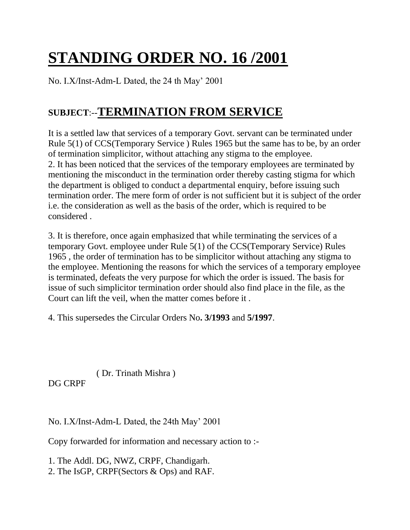## **STANDING ORDER NO. 16 /2001**

No. I.X/Inst-Adm-L Dated, the 24 th May' 2001

## **SUBJECT**:--**TERMINATION FROM SERVICE**

It is a settled law that services of a temporary Govt. servant can be terminated under Rule 5(1) of CCS(Temporary Service ) Rules 1965 but the same has to be, by an order of termination simplicitor, without attaching any stigma to the employee. 2. It has been noticed that the services of the temporary employees are terminated by mentioning the misconduct in the termination order thereby casting stigma for which the department is obliged to conduct a departmental enquiry, before issuing such termination order. The mere form of order is not sufficient but it is subject of the order i.e. the consideration as well as the basis of the order, which is required to be considered .

3. It is therefore, once again emphasized that while terminating the services of a temporary Govt. employee under Rule 5(1) of the CCS(Temporary Service) Rules 1965 , the order of termination has to be simplicitor without attaching any stigma to the employee. Mentioning the reasons for which the services of a temporary employee is terminated, defeats the very purpose for which the order is issued. The basis for issue of such simplicitor termination order should also find place in the file, as the Court can lift the veil, when the matter comes before it .

4. This supersedes the Circular Orders No**. 3/1993** and **5/1997**.

( Dr. Trinath Mishra )

DG CRPF

No. I.X/Inst-Adm-L Dated, the 24th May' 2001

Copy forwarded for information and necessary action to :-

1. The Addl. DG, NWZ, CRPF, Chandigarh.

2. The IsGP, CRPF(Sectors & Ops) and RAF.